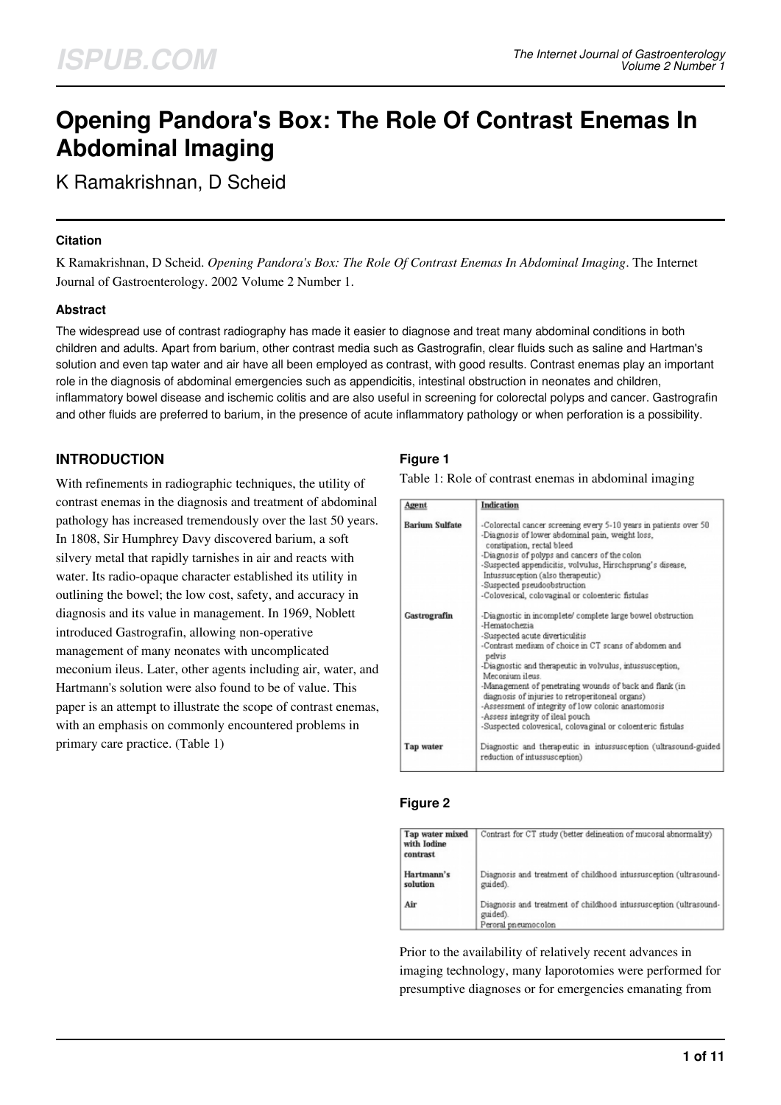# **Opening Pandora's Box: The Role Of Contrast Enemas In Abdominal Imaging**

K Ramakrishnan, D Scheid

#### **Citation**

K Ramakrishnan, D Scheid. *Opening Pandora's Box: The Role Of Contrast Enemas In Abdominal Imaging*. The Internet Journal of Gastroenterology. 2002 Volume 2 Number 1.

## **Abstract**

The widespread use of contrast radiography has made it easier to diagnose and treat many abdominal conditions in both children and adults. Apart from barium, other contrast media such as Gastrografin, clear fluids such as saline and Hartman's solution and even tap water and air have all been employed as contrast, with good results. Contrast enemas play an important role in the diagnosis of abdominal emergencies such as appendicitis, intestinal obstruction in neonates and children, inflammatory bowel disease and ischemic colitis and are also useful in screening for colorectal polyps and cancer. Gastrografin and other fluids are preferred to barium, in the presence of acute inflammatory pathology or when perforation is a possibility.

# **INTRODUCTION**

With refinements in radiographic techniques, the utility of contrast enemas in the diagnosis and treatment of abdominal pathology has increased tremendously over the last 50 years. In 1808, Sir Humphrey Davy discovered barium, a soft silvery metal that rapidly tarnishes in air and reacts with water. Its radio-opaque character established its utility in outlining the bowel; the low cost, safety, and accuracy in diagnosis and its value in management. In 1969, Noblett introduced Gastrografin, allowing non-operative management of many neonates with uncomplicated meconium ileus. Later, other agents including air, water, and Hartmann's solution were also found to be of value. This paper is an attempt to illustrate the scope of contrast enemas, with an emphasis on commonly encountered problems in primary care practice. (Table 1)

## **Figure 1**

Table 1: Role of contrast enemas in abdominal imaging

| Agent                 | Indication                                                                                                                                                                        |
|-----------------------|-----------------------------------------------------------------------------------------------------------------------------------------------------------------------------------|
| <b>Barium Sulfate</b> | -Colorectal cancer screening every 5-10 years in patients over 50<br>-Diagnosis of lower abdominal pain, weight loss,<br>constipation, rectal bleed                               |
|                       | -Diagnosis of polyps and cancers of the colon<br>-Suspected appendicitis, volvulus, Hirschsprung's disease,<br>Intussusception (also therapeutic)<br>-Suspected pseudoobstruction |
|                       | -Colovesical, colovaginal or coloenteric fistulas                                                                                                                                 |
| Gastrografin          | -Diagnostic in incomplete/ complete large bowel obstruction<br>-Hematochezia                                                                                                      |
|                       | -Suspected acute diverticulitis<br>-Contrast medium of choice in CT scans of abdomen and<br>pelvis                                                                                |
|                       | -Diagnostic and therapeutic in volvulus, intussusception,<br>Meconium ileus                                                                                                       |
|                       | -Management of penetrating wounds of back and flank (in<br>diagnosis of injuries to retroperitoneal organs)                                                                       |
|                       | -Assessment of integrity of low colonic anastomosis<br>-Assess integrity of ileal pouch                                                                                           |
|                       | -Suspected colovesical, colovaginal or coloenteric fistulas                                                                                                                       |
| Tap water             | Diagnostic and therapeutic in intussusception (ultrasound-guided<br>reduction of intussusception)                                                                                 |
|                       |                                                                                                                                                                                   |

#### **Figure 2**

| Tap water mixed<br>with Iodine<br>contrast | Contrast for CT study (better delineation of mucosal abnormality)                                    |
|--------------------------------------------|------------------------------------------------------------------------------------------------------|
| Hartmann's<br>solution                     | Diagnosis and treatment of childhood intussusception (ultrasound-<br>guided).                        |
| Air                                        | Diagnosis and treatment of childhood intussusception (ultrasound-<br>guided).<br>Peroral pneumocolon |

Prior to the availability of relatively recent advances in imaging technology, many laporotomies were performed for presumptive diagnoses or for emergencies emanating from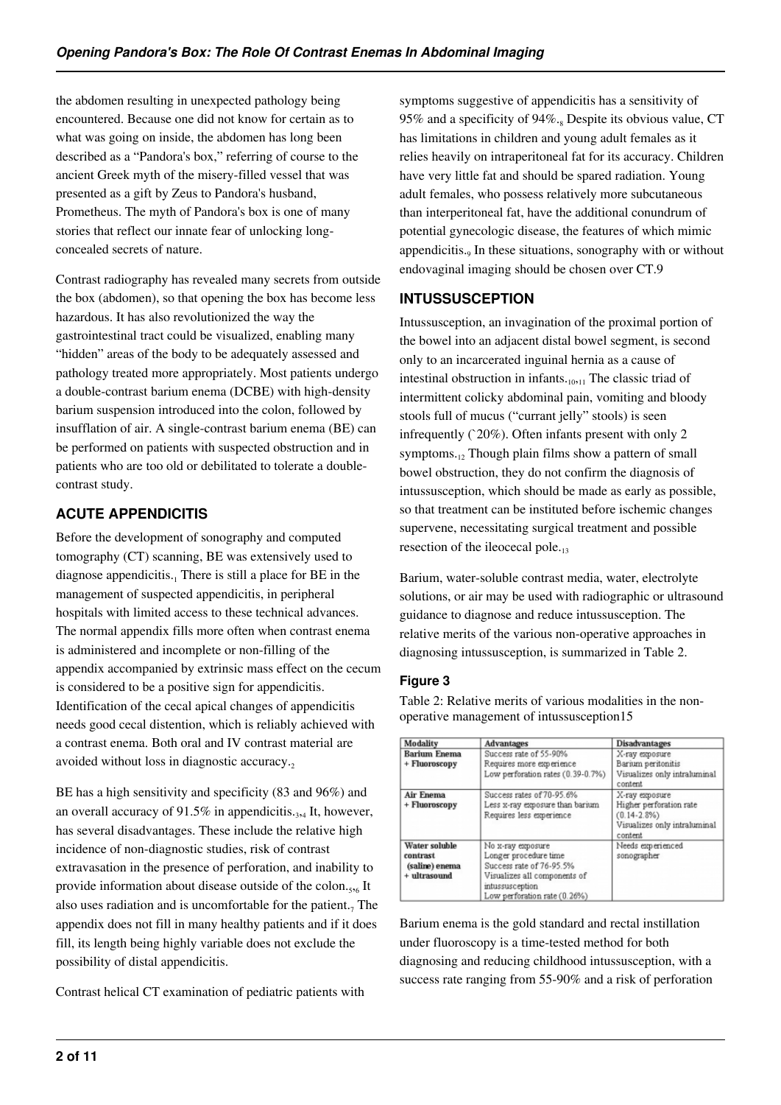the abdomen resulting in unexpected pathology being encountered. Because one did not know for certain as to what was going on inside, the abdomen has long been described as a "Pandora's box," referring of course to the ancient Greek myth of the misery-filled vessel that was presented as a gift by Zeus to Pandora's husband, Prometheus. The myth of Pandora's box is one of many stories that reflect our innate fear of unlocking longconcealed secrets of nature.

Contrast radiography has revealed many secrets from outside the box (abdomen), so that opening the box has become less hazardous. It has also revolutionized the way the gastrointestinal tract could be visualized, enabling many "hidden" areas of the body to be adequately assessed and pathology treated more appropriately. Most patients undergo a double-contrast barium enema (DCBE) with high-density barium suspension introduced into the colon, followed by insufflation of air. A single-contrast barium enema (BE) can be performed on patients with suspected obstruction and in patients who are too old or debilitated to tolerate a doublecontrast study.

# **ACUTE APPENDICITIS**

Before the development of sonography and computed tomography (CT) scanning, BE was extensively used to diagnose appendicitis.<sub>1</sub> There is still a place for BE in the management of suspected appendicitis, in peripheral hospitals with limited access to these technical advances. The normal appendix fills more often when contrast enema is administered and incomplete or non-filling of the appendix accompanied by extrinsic mass effect on the cecum is considered to be a positive sign for appendicitis. Identification of the cecal apical changes of appendicitis needs good cecal distention, which is reliably achieved with a contrast enema. Both oral and IV contrast material are avoided without loss in diagnostic accuracy.

BE has a high sensitivity and specificity (83 and 96%) and an overall accuracy of  $91.5\%$  in appendicitis.<sub>3,4</sub> It, however, has several disadvantages. These include the relative high incidence of non-diagnostic studies, risk of contrast extravasation in the presence of perforation, and inability to provide information about disease outside of the colon.<sub>5,6</sub> It also uses radiation and is uncomfortable for the patient. $<sub>7</sub>$  The</sub> appendix does not fill in many healthy patients and if it does fill, its length being highly variable does not exclude the possibility of distal appendicitis.

Contrast helical CT examination of pediatric patients with

symptoms suggestive of appendicitis has a sensitivity of 95% and a specificity of  $94\%$ .<sub>8</sub> Despite its obvious value, CT has limitations in children and young adult females as it relies heavily on intraperitoneal fat for its accuracy. Children have very little fat and should be spared radiation. Young adult females, who possess relatively more subcutaneous than interperitoneal fat, have the additional conundrum of potential gynecologic disease, the features of which mimic appendicitis.<sub>9</sub> In these situations, sonography with or without endovaginal imaging should be chosen over CT.9

## **INTUSSUSCEPTION**

Intussusception, an invagination of the proximal portion of the bowel into an adjacent distal bowel segment, is second only to an incarcerated inguinal hernia as a cause of intestinal obstruction in infants. $_{10,11}$  The classic triad of intermittent colicky abdominal pain, vomiting and bloody stools full of mucus ("currant jelly" stools) is seen infrequently (`20%). Often infants present with only 2 symptoms. $12$  Though plain films show a pattern of small bowel obstruction, they do not confirm the diagnosis of intussusception, which should be made as early as possible, so that treatment can be instituted before ischemic changes supervene, necessitating surgical treatment and possible resection of the ileocecal pole.<sub>13</sub>

Barium, water-soluble contrast media, water, electrolyte solutions, or air may be used with radiographic or ultrasound guidance to diagnose and reduce intussusception. The relative merits of the various non-operative approaches in diagnosing intussusception, is summarized in Table 2.

# **Figure 3**

Table 2: Relative merits of various modalities in the nonoperative management of intussusception15

| Modality                                                    | <b>Advantages</b>                                                                                                                                         | <b>Disadvantages</b>                                                                                     |
|-------------------------------------------------------------|-----------------------------------------------------------------------------------------------------------------------------------------------------------|----------------------------------------------------------------------------------------------------------|
| <b>Barium Enema</b><br>+ Fluoroscopy                        | Success rate of 55-90%<br>Requires more experience<br>Low perforation rates (0.39-0.7%)                                                                   | X-ray exposure<br>Barium peritonitis<br>Visualizes only intraluminal<br>content                          |
| <b>Air Enema</b><br>+ Fluoroscopy                           | Success rates of 70-95.6%<br>Less x-ray exposure than barium<br>Requires less experience                                                                  | X-ray exposure<br>Higher perforation rate<br>$(0.14 - 2.8\%)$<br>Visualizes only intraluminal<br>content |
| Water soluble<br>contrast<br>(saline) enema<br>+ ultrasound | No x-ray exposure<br>Longer procedure time<br>Success rate of 76-95.5%<br>Visualizes all components of<br>intussusception<br>Low perforation rate (0.26%) | Needs experienced<br>sonographer                                                                         |

Barium enema is the gold standard and rectal instillation under fluoroscopy is a time-tested method for both diagnosing and reducing childhood intussusception, with a success rate ranging from 55-90% and a risk of perforation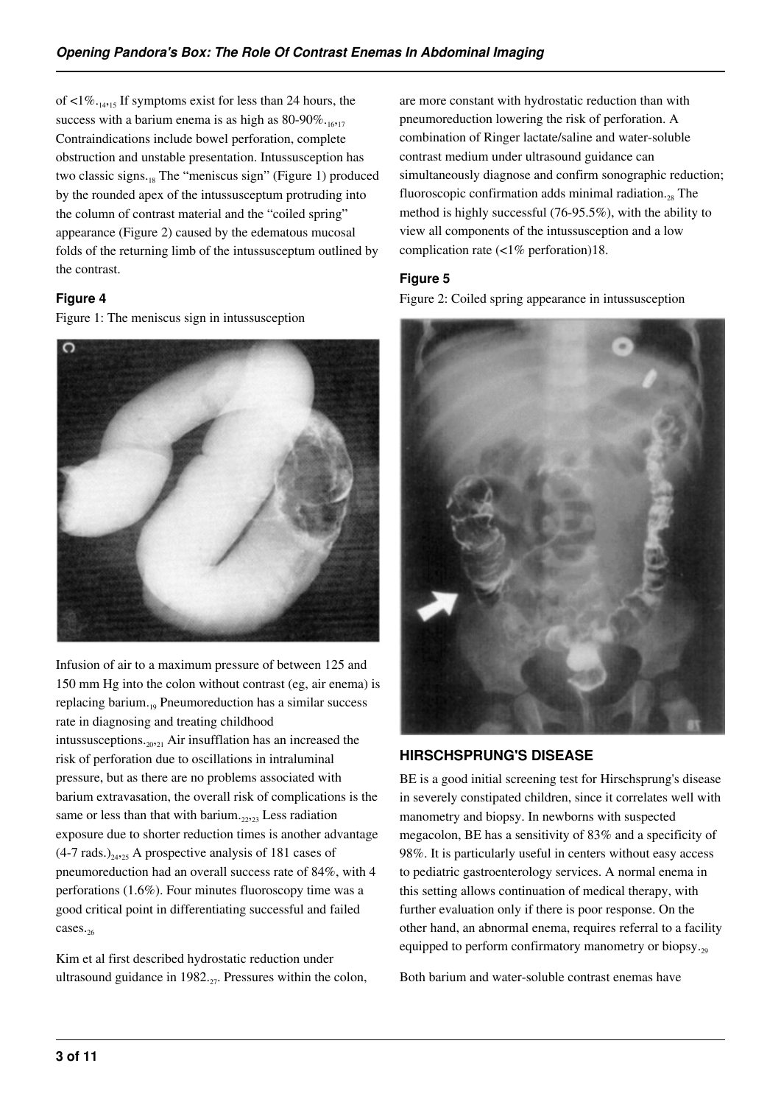of  $\langle 1\% \cdot_{14} 15 \rangle$  If symptoms exist for less than 24 hours, the success with a barium enema is as high as  $80-90\%$ . Contraindications include bowel perforation, complete obstruction and unstable presentation. Intussusception has two classic signs. $_{18}$  The "meniscus sign" (Figure 1) produced by the rounded apex of the intussusceptum protruding into the column of contrast material and the "coiled spring" appearance (Figure 2) caused by the edematous mucosal folds of the returning limb of the intussusceptum outlined by the contrast.

#### **Figure 4**

Figure 1: The meniscus sign in intussusception



Infusion of air to a maximum pressure of between 125 and 150 mm Hg into the colon without contrast (eg, air enema) is replacing barium.<sub>19</sub> Pneumoreduction has a similar success rate in diagnosing and treating childhood intussusceptions.20,21 Air insufflation has an increased the risk of perforation due to oscillations in intraluminal pressure, but as there are no problems associated with barium extravasation, the overall risk of complications is the same or less than that with barium. $_{22,23}$  Less radiation exposure due to shorter reduction times is another advantage  $(4-7 \text{ rads.})_{24,25}$  A prospective analysis of 181 cases of pneumoreduction had an overall success rate of 84%, with 4 perforations (1.6%). Four minutes fluoroscopy time was a good critical point in differentiating successful and failed cases.<sub>26</sub>

Kim et al first described hydrostatic reduction under ultrasound guidance in  $1982_{.27}$ . Pressures within the colon, are more constant with hydrostatic reduction than with pneumoreduction lowering the risk of perforation. A combination of Ringer lactate/saline and water-soluble contrast medium under ultrasound guidance can simultaneously diagnose and confirm sonographic reduction; fluoroscopic confirmation adds minimal radiation. $_{28}$  The method is highly successful (76-95.5%), with the ability to view all components of the intussusception and a low complication rate (<1% perforation)18.

#### **Figure 5**

Figure 2: Coiled spring appearance in intussusception



# **HIRSCHSPRUNG'S DISEASE**

BE is a good initial screening test for Hirschsprung's disease in severely constipated children, since it correlates well with manometry and biopsy. In newborns with suspected megacolon, BE has a sensitivity of 83% and a specificity of 98%. It is particularly useful in centers without easy access to pediatric gastroenterology services. A normal enema in this setting allows continuation of medical therapy, with further evaluation only if there is poor response. On the other hand, an abnormal enema, requires referral to a facility equipped to perform confirmatory manometry or biopsy. $_{29}$ 

Both barium and water-soluble contrast enemas have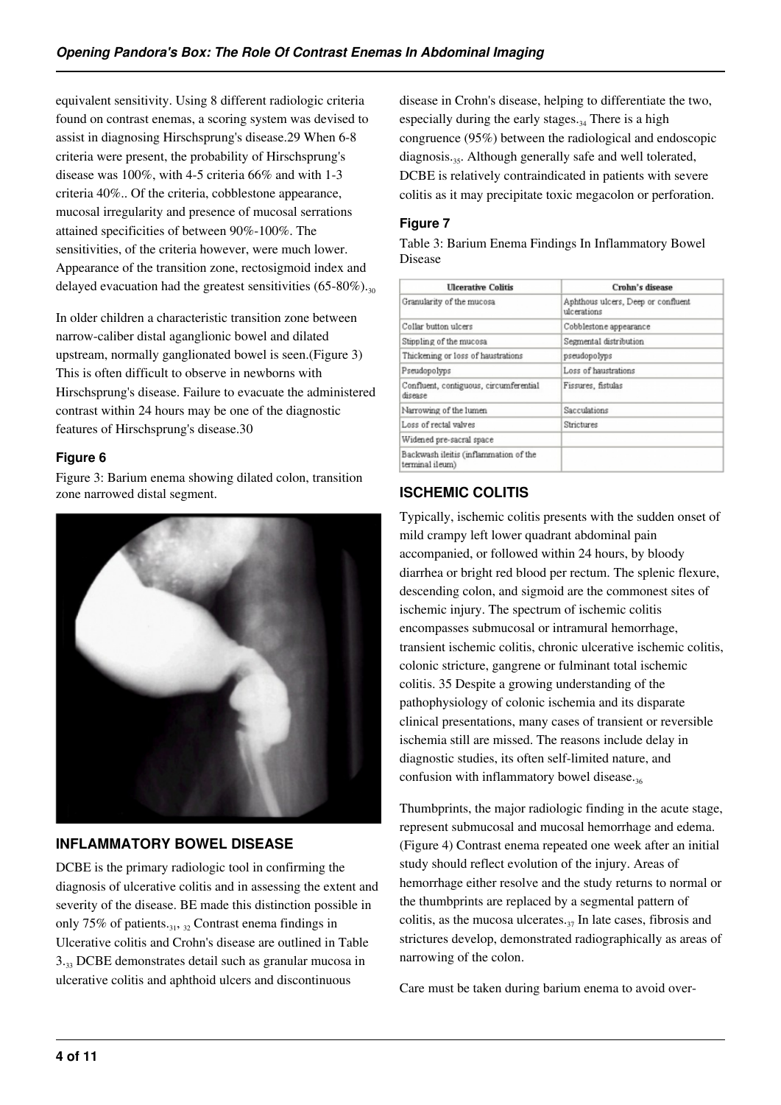equivalent sensitivity. Using 8 different radiologic criteria found on contrast enemas, a scoring system was devised to assist in diagnosing Hirschsprung's disease.29 When 6-8 criteria were present, the probability of Hirschsprung's disease was 100%, with 4-5 criteria 66% and with 1-3 criteria 40%.. Of the criteria, cobblestone appearance, mucosal irregularity and presence of mucosal serrations attained specificities of between 90%-100%. The sensitivities, of the criteria however, were much lower. Appearance of the transition zone, rectosigmoid index and delayed evacuation had the greatest sensitivities  $(65-80\%)_{30}$ 

In older children a characteristic transition zone between narrow-caliber distal aganglionic bowel and dilated upstream, normally ganglionated bowel is seen.(Figure 3) This is often difficult to observe in newborns with Hirschsprung's disease. Failure to evacuate the administered contrast within 24 hours may be one of the diagnostic features of Hirschsprung's disease.30

## **Figure 6**

Figure 3: Barium enema showing dilated colon, transition zone narrowed distal segment.



## **INFLAMMATORY BOWEL DISEASE**

DCBE is the primary radiologic tool in confirming the diagnosis of ulcerative colitis and in assessing the extent and severity of the disease. BE made this distinction possible in only 75% of patients. $31, 32$  Contrast enema findings in Ulcerative colitis and Crohn's disease are outlined in Table 3.33 DCBE demonstrates detail such as granular mucosa in ulcerative colitis and aphthoid ulcers and discontinuous

disease in Crohn's disease, helping to differentiate the two, especially during the early stages. $34$  There is a high congruence (95%) between the radiological and endoscopic diagnosis.<sub>35</sub>. Although generally safe and well tolerated, DCBE is relatively contraindicated in patients with severe colitis as it may precipitate toxic megacolon or perforation.

#### **Figure 7**

Table 3: Barium Enema Findings In Inflammatory Bowel Disease

| <b>Ulcerative Colitis</b>                                | Crohn's disease                                   |  |
|----------------------------------------------------------|---------------------------------------------------|--|
| Granularity of the mucosa                                | Aphthous ulcers, Deep or confluent<br>ulcerations |  |
| Collar button ulcers                                     | Cobblestone appearance                            |  |
| Stippling of the mucosa                                  | Segmental distribution                            |  |
| Thickening or loss of haustrations                       | pseudopolyps                                      |  |
| Pseudopolyps                                             | Loss of haustrations                              |  |
| Confluent, contiguous, circumferential<br>disease        | Fissures, fistulas                                |  |
| Narrowing of the lumen                                   | Sacculations                                      |  |
| Loss of rectal valves                                    | Strictures                                        |  |
| Widened pre-sacral space                                 |                                                   |  |
| Backwash ileitis (inflammation of the<br>terminal ileum) |                                                   |  |
|                                                          |                                                   |  |

# **ISCHEMIC COLITIS**

Typically, ischemic colitis presents with the sudden onset of mild crampy left lower quadrant abdominal pain accompanied, or followed within 24 hours, by bloody diarrhea or bright red blood per rectum. The splenic flexure, descending colon, and sigmoid are the commonest sites of ischemic injury. The spectrum of ischemic colitis encompasses submucosal or intramural hemorrhage, transient ischemic colitis, chronic ulcerative ischemic colitis, colonic stricture, gangrene or fulminant total ischemic colitis. 35 Despite a growing understanding of the pathophysiology of colonic ischemia and its disparate clinical presentations, many cases of transient or reversible ischemia still are missed. The reasons include delay in diagnostic studies, its often self-limited nature, and confusion with inflammatory bowel disease.36

Thumbprints, the major radiologic finding in the acute stage, represent submucosal and mucosal hemorrhage and edema. (Figure 4) Contrast enema repeated one week after an initial study should reflect evolution of the injury. Areas of hemorrhage either resolve and the study returns to normal or the thumbprints are replaced by a segmental pattern of colitis, as the mucosa ulcerates. $37$  In late cases, fibrosis and strictures develop, demonstrated radiographically as areas of narrowing of the colon.

Care must be taken during barium enema to avoid over-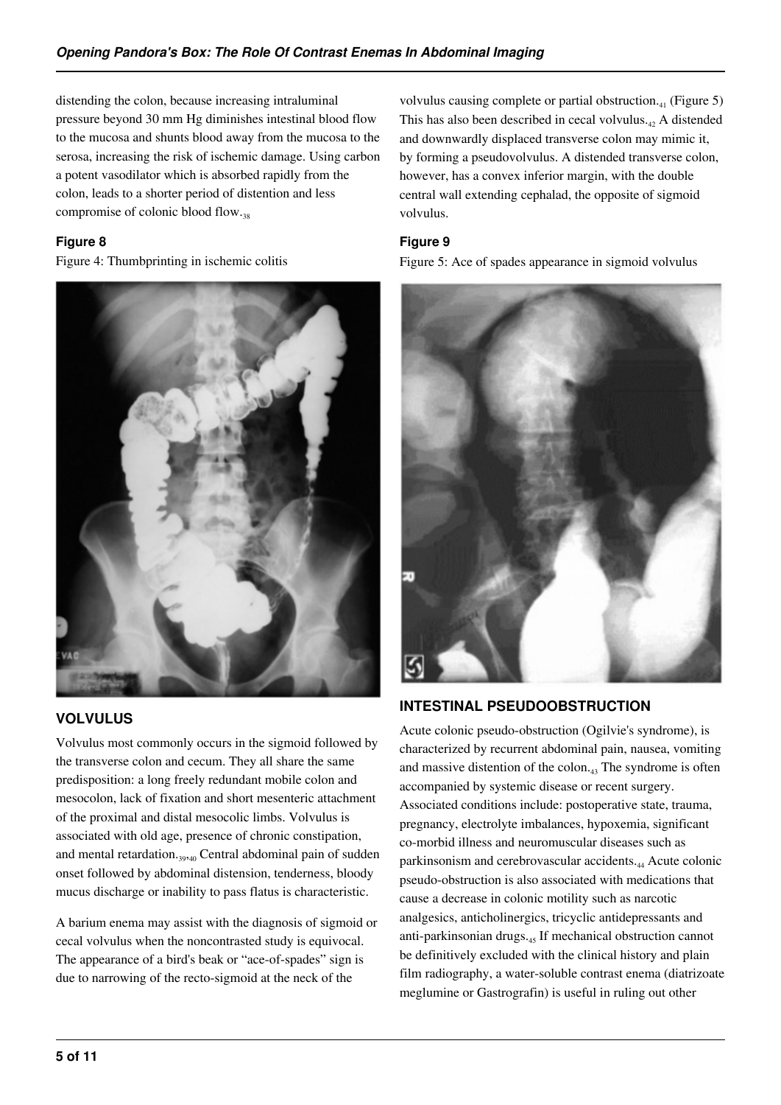distending the colon, because increasing intraluminal pressure beyond 30 mm Hg diminishes intestinal blood flow to the mucosa and shunts blood away from the mucosa to the serosa, increasing the risk of ischemic damage. Using carbon a potent vasodilator which is absorbed rapidly from the colon, leads to a shorter period of distention and less compromise of colonic blood flow.<sub>38</sub>

## **Figure 8**

Figure 4: Thumbprinting in ischemic colitis



## **VOLVULUS**

Volvulus most commonly occurs in the sigmoid followed by the transverse colon and cecum. They all share the same predisposition: a long freely redundant mobile colon and mesocolon, lack of fixation and short mesenteric attachment of the proximal and distal mesocolic limbs. Volvulus is associated with old age, presence of chronic constipation, and mental retardation.<sub>39,40</sub> Central abdominal pain of sudden onset followed by abdominal distension, tenderness, bloody mucus discharge or inability to pass flatus is characteristic.

A barium enema may assist with the diagnosis of sigmoid or cecal volvulus when the noncontrasted study is equivocal. The appearance of a bird's beak or "ace-of-spades" sign is due to narrowing of the recto-sigmoid at the neck of the

volvulus causing complete or partial obstruction. $_{41}$  (Figure 5) This has also been described in cecal volvulus. $_{42}$  A distended and downwardly displaced transverse colon may mimic it, by forming a pseudovolvulus. A distended transverse colon, however, has a convex inferior margin, with the double central wall extending cephalad, the opposite of sigmoid volvulus.

## **Figure 9**

Figure 5: Ace of spades appearance in sigmoid volvulus



# **INTESTINAL PSEUDOOBSTRUCTION**

Acute colonic pseudo-obstruction (Ogilvie's syndrome), is characterized by recurrent abdominal pain, nausea, vomiting and massive distention of the colon.43 The syndrome is often accompanied by systemic disease or recent surgery. Associated conditions include: postoperative state, trauma, pregnancy, electrolyte imbalances, hypoxemia, significant co-morbid illness and neuromuscular diseases such as parkinsonism and cerebrovascular accidents.44 Acute colonic pseudo-obstruction is also associated with medications that cause a decrease in colonic motility such as narcotic analgesics, anticholinergics, tricyclic antidepressants and anti-parkinsonian drugs.<sub>45</sub> If mechanical obstruction cannot be definitively excluded with the clinical history and plain film radiography, a water-soluble contrast enema (diatrizoate meglumine or Gastrografin) is useful in ruling out other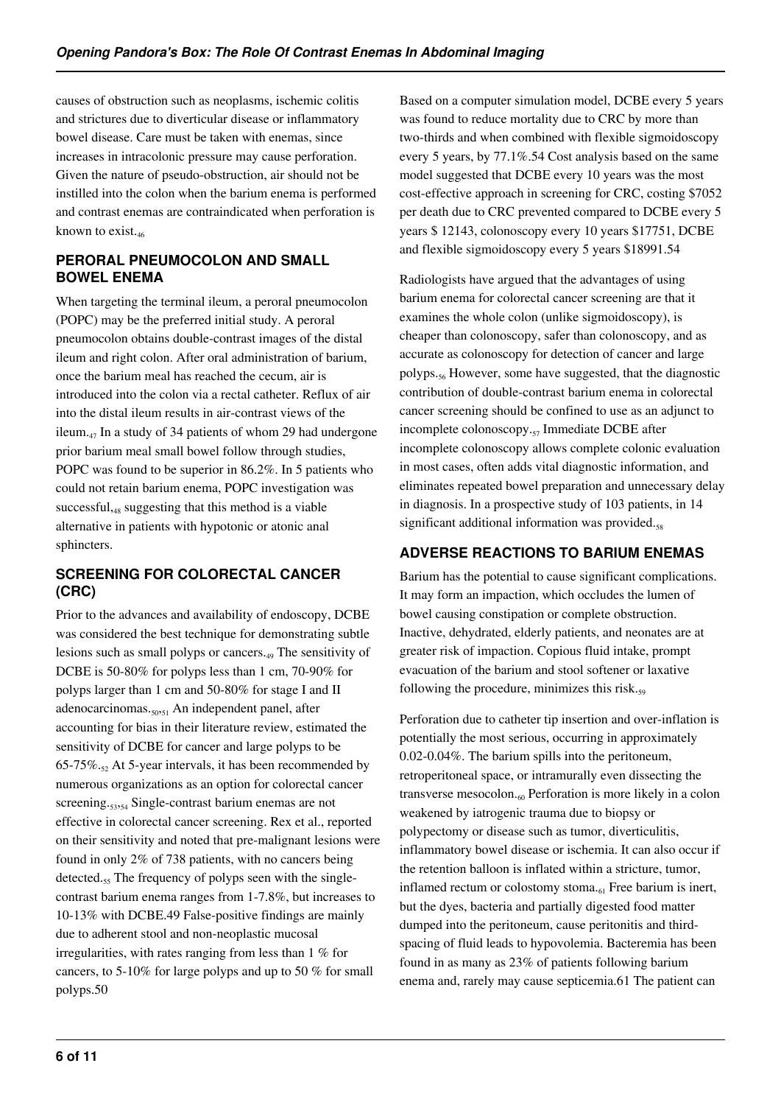causes of obstruction such as neoplasms, ischemic colitis and strictures due to diverticular disease or inflammatory bowel disease. Care must be taken with enemas, since increases in intracolonic pressure may cause perforation. Given the nature of pseudo-obstruction, air should not be instilled into the colon when the barium enema is performed and contrast enemas are contraindicated when perforation is known to exist. $_{46}$ 

## **PERORAL PNEUMOCOLON AND SMALL BOWEL ENEMA**

When targeting the terminal ileum, a peroral pneumocolon (POPC) may be the preferred initial study. A peroral pneumocolon obtains double-contrast images of the distal ileum and right colon. After oral administration of barium, once the barium meal has reached the cecum, air is introduced into the colon via a rectal catheter. Reflux of air into the distal ileum results in air-contrast views of the ileum. $_{47}$  In a study of 34 patients of whom 29 had undergone prior barium meal small bowel follow through studies, POPC was found to be superior in 86.2%. In 5 patients who could not retain barium enema, POPC investigation was successful, $_{48}$  suggesting that this method is a viable alternative in patients with hypotonic or atonic anal sphincters.

# **SCREENING FOR COLORECTAL CANCER (CRC)**

Prior to the advances and availability of endoscopy, DCBE was considered the best technique for demonstrating subtle lesions such as small polyps or cancers.49 The sensitivity of DCBE is 50-80% for polyps less than 1 cm, 70-90% for polyps larger than 1 cm and 50-80% for stage I and II adenocarcinomas.<sub>50,51</sub> An independent panel, after accounting for bias in their literature review, estimated the sensitivity of DCBE for cancer and large polyps to be 65-75%. $_{52}$  At 5-year intervals, it has been recommended by numerous organizations as an option for colorectal cancer screening.<sub>53254</sub> Single-contrast barium enemas are not effective in colorectal cancer screening. Rex et al., reported on their sensitivity and noted that pre-malignant lesions were found in only 2% of 738 patients, with no cancers being detected.<sub>55</sub> The frequency of polyps seen with the singlecontrast barium enema ranges from 1-7.8%, but increases to 10-13% with DCBE.49 False-positive findings are mainly due to adherent stool and non-neoplastic mucosal irregularities, with rates ranging from less than 1 % for cancers, to 5-10% for large polyps and up to 50 % for small polyps.50

Based on a computer simulation model, DCBE every 5 years was found to reduce mortality due to CRC by more than two-thirds and when combined with flexible sigmoidoscopy every 5 years, by 77.1%.54 Cost analysis based on the same model suggested that DCBE every 10 years was the most cost-effective approach in screening for CRC, costing \$7052 per death due to CRC prevented compared to DCBE every 5 years \$ 12143, colonoscopy every 10 years \$17751, DCBE and flexible sigmoidoscopy every 5 years \$18991.54

Radiologists have argued that the advantages of using barium enema for colorectal cancer screening are that it examines the whole colon (unlike sigmoidoscopy), is cheaper than colonoscopy, safer than colonoscopy, and as accurate as colonoscopy for detection of cancer and large polyps.56 However, some have suggested, that the diagnostic contribution of double-contrast barium enema in colorectal cancer screening should be confined to use as an adjunct to incomplete colonoscopy.<sub>57</sub> Immediate DCBE after incomplete colonoscopy allows complete colonic evaluation in most cases, often adds vital diagnostic information, and eliminates repeated bowel preparation and unnecessary delay in diagnosis. In a prospective study of 103 patients, in 14 significant additional information was provided. $_{58}$ 

# **ADVERSE REACTIONS TO BARIUM ENEMAS**

Barium has the potential to cause significant complications. It may form an impaction, which occludes the lumen of bowel causing constipation or complete obstruction. Inactive, dehydrated, elderly patients, and neonates are at greater risk of impaction. Copious fluid intake, prompt evacuation of the barium and stool softener or laxative following the procedure, minimizes this risk. $_{59}$ 

Perforation due to catheter tip insertion and over-inflation is potentially the most serious, occurring in approximately 0.02-0.04%. The barium spills into the peritoneum, retroperitoneal space, or intramurally even dissecting the transverse mesocolon. $_{60}$  Perforation is more likely in a colon weakened by iatrogenic trauma due to biopsy or polypectomy or disease such as tumor, diverticulitis, inflammatory bowel disease or ischemia. It can also occur if the retention balloon is inflated within a stricture, tumor, inflamed rectum or colostomy stoma. $_{61}$  Free barium is inert, but the dyes, bacteria and partially digested food matter dumped into the peritoneum, cause peritonitis and thirdspacing of fluid leads to hypovolemia. Bacteremia has been found in as many as 23% of patients following barium enema and, rarely may cause septicemia.61 The patient can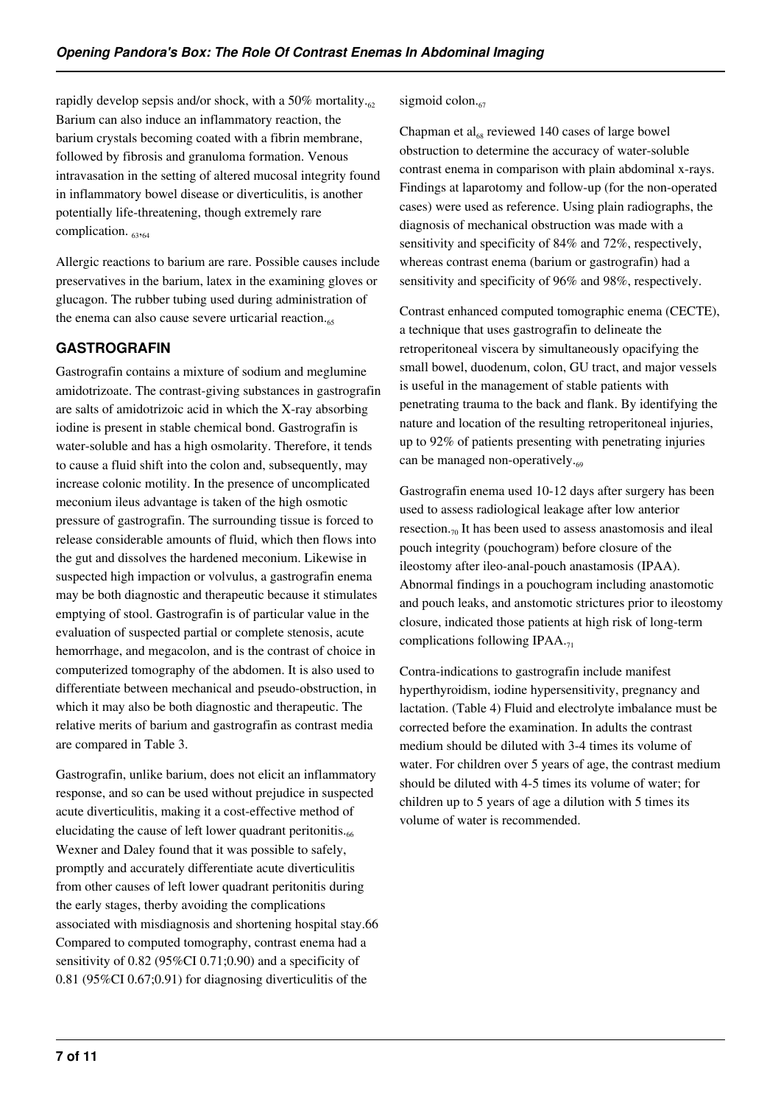rapidly develop sepsis and/or shock, with a 50% mortality. $_{62}$ Barium can also induce an inflammatory reaction, the barium crystals becoming coated with a fibrin membrane, followed by fibrosis and granuloma formation. Venous intravasation in the setting of altered mucosal integrity found in inflammatory bowel disease or diverticulitis, is another potentially life-threatening, though extremely rare complication.  $63,64$ 

Allergic reactions to barium are rare. Possible causes include preservatives in the barium, latex in the examining gloves or glucagon. The rubber tubing used during administration of the enema can also cause severe urticarial reaction. $_{65}$ 

## **GASTROGRAFIN**

Gastrografin contains a mixture of sodium and meglumine amidotrizoate. The contrast-giving substances in gastrografin are salts of amidotrizoic acid in which the X-ray absorbing iodine is present in stable chemical bond. Gastrografin is water-soluble and has a high osmolarity. Therefore, it tends to cause a fluid shift into the colon and, subsequently, may increase colonic motility. In the presence of uncomplicated meconium ileus advantage is taken of the high osmotic pressure of gastrografin. The surrounding tissue is forced to release considerable amounts of fluid, which then flows into the gut and dissolves the hardened meconium. Likewise in suspected high impaction or volvulus, a gastrografin enema may be both diagnostic and therapeutic because it stimulates emptying of stool. Gastrografin is of particular value in the evaluation of suspected partial or complete stenosis, acute hemorrhage, and megacolon, and is the contrast of choice in computerized tomography of the abdomen. It is also used to differentiate between mechanical and pseudo-obstruction, in which it may also be both diagnostic and therapeutic. The relative merits of barium and gastrografin as contrast media are compared in Table 3.

Gastrografin, unlike barium, does not elicit an inflammatory response, and so can be used without prejudice in suspected acute diverticulitis, making it a cost-effective method of elucidating the cause of left lower quadrant peritonitis. $6666$ Wexner and Daley found that it was possible to safely, promptly and accurately differentiate acute diverticulitis from other causes of left lower quadrant peritonitis during the early stages, therby avoiding the complications associated with misdiagnosis and shortening hospital stay.66 Compared to computed tomography, contrast enema had a sensitivity of 0.82 (95%CI 0.71;0.90) and a specificity of 0.81 (95%CI 0.67;0.91) for diagnosing diverticulitis of the

sigmoid colon. $_{67}$ 

Chapman et al<sub>68</sub> reviewed 140 cases of large bowel obstruction to determine the accuracy of water-soluble contrast enema in comparison with plain abdominal x-rays. Findings at laparotomy and follow-up (for the non-operated cases) were used as reference. Using plain radiographs, the diagnosis of mechanical obstruction was made with a sensitivity and specificity of 84% and 72%, respectively, whereas contrast enema (barium or gastrografin) had a sensitivity and specificity of 96% and 98%, respectively.

Contrast enhanced computed tomographic enema (CECTE), a technique that uses gastrografin to delineate the retroperitoneal viscera by simultaneously opacifying the small bowel, duodenum, colon, GU tract, and major vessels is useful in the management of stable patients with penetrating trauma to the back and flank. By identifying the nature and location of the resulting retroperitoneal injuries, up to 92% of patients presenting with penetrating injuries can be managed non-operatively. $\epsilon_{69}$ 

Gastrografin enema used 10-12 days after surgery has been used to assess radiological leakage after low anterior resection. $\tau_0$  It has been used to assess anastomosis and ileal pouch integrity (pouchogram) before closure of the ileostomy after ileo-anal-pouch anastamosis (IPAA). Abnormal findings in a pouchogram including anastomotic and pouch leaks, and anstomotic strictures prior to ileostomy closure, indicated those patients at high risk of long-term complications following IPAA.<sub>71</sub>

Contra-indications to gastrografin include manifest hyperthyroidism, iodine hypersensitivity, pregnancy and lactation. (Table 4) Fluid and electrolyte imbalance must be corrected before the examination. In adults the contrast medium should be diluted with 3-4 times its volume of water. For children over 5 years of age, the contrast medium should be diluted with 4-5 times its volume of water; for children up to 5 years of age a dilution with 5 times its volume of water is recommended.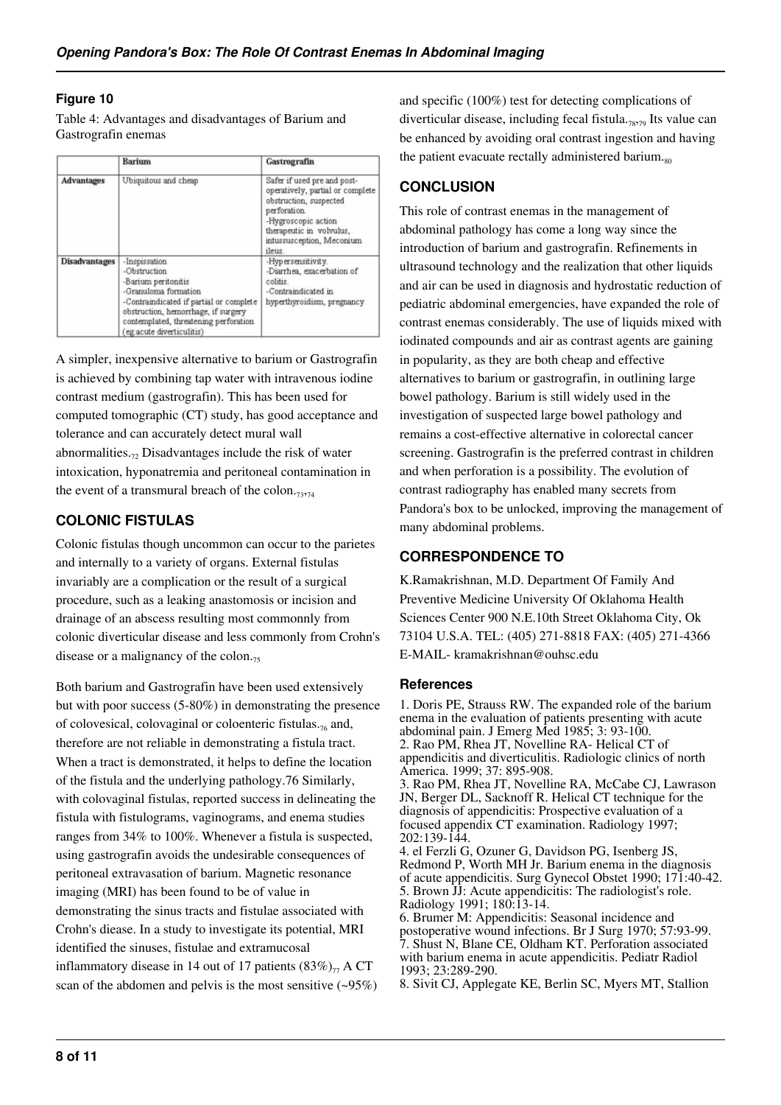#### **Figure 10**

Table 4: Advantages and disadvantages of Barium and Gastrografin enemas

|                      | <b>Barium</b>                                                                                                                                                                                                                        | Gastrografin                                                                                                                                                                                       |
|----------------------|--------------------------------------------------------------------------------------------------------------------------------------------------------------------------------------------------------------------------------------|----------------------------------------------------------------------------------------------------------------------------------------------------------------------------------------------------|
| <b>Advantages</b>    | Ubiquitous and cheap                                                                                                                                                                                                                 | Safer if used pre and post-<br>operatively, partial or complete<br>obstruction, suspected<br>perforation.<br>-Hygroscopic action<br>therapeutic in volvulus,<br>intussusception, Meconium<br>ileus |
| <b>Disadvantages</b> | -Inspissation<br>-Obstruction<br>-Barium peritonitis<br>-Granuloma formation<br>-Contraindicated if partial or complete<br>obstruction, hemorrhage, if surgery<br>contemplated, threatening perforation<br>(eg.acute diverticulitis) | -Hypersensitivity.<br>-Diarrhea, exacerbation of<br>colitis.<br>-Contraindicated in<br>hyperthyroidism, pregnancy                                                                                  |

A simpler, inexpensive alternative to barium or Gastrografin is achieved by combining tap water with intravenous iodine contrast medium (gastrografin). This has been used for computed tomographic (CT) study, has good acceptance and tolerance and can accurately detect mural wall abnormalities. $\tau$ , Disadvantages include the risk of water intoxication, hyponatremia and peritoneal contamination in the event of a transmural breach of the colon. $_{73,74}$ 

## **COLONIC FISTULAS**

Colonic fistulas though uncommon can occur to the parietes and internally to a variety of organs. External fistulas invariably are a complication or the result of a surgical procedure, such as a leaking anastomosis or incision and drainage of an abscess resulting most commonnly from colonic diverticular disease and less commonly from Crohn's disease or a malignancy of the colon. $<sub>75</sub>$ </sub>

Both barium and Gastrografin have been used extensively but with poor success (5-80%) in demonstrating the presence of colovesical, colovaginal or coloenteric fistulas. $_{76}$  and, therefore are not reliable in demonstrating a fistula tract. When a tract is demonstrated, it helps to define the location of the fistula and the underlying pathology.76 Similarly, with colovaginal fistulas, reported success in delineating the fistula with fistulograms, vaginograms, and enema studies ranges from 34% to 100%. Whenever a fistula is suspected, using gastrografin avoids the undesirable consequences of peritoneal extravasation of barium. Magnetic resonance imaging (MRI) has been found to be of value in demonstrating the sinus tracts and fistulae associated with Crohn's diease. In a study to investigate its potential, MRI identified the sinuses, fistulae and extramucosal inflammatory disease in 14 out of 17 patients  $(83\%)_{77}$  A CT scan of the abdomen and pelvis is the most sensitive  $(-95%)$ 

and specific (100%) test for detecting complications of diverticular disease, including fecal fistula.78,79 Its value can be enhanced by avoiding oral contrast ingestion and having the patient evacuate rectally administered barium. $_{80}$ 

# **CONCLUSION**

This role of contrast enemas in the management of abdominal pathology has come a long way since the introduction of barium and gastrografin. Refinements in ultrasound technology and the realization that other liquids and air can be used in diagnosis and hydrostatic reduction of pediatric abdominal emergencies, have expanded the role of contrast enemas considerably. The use of liquids mixed with iodinated compounds and air as contrast agents are gaining in popularity, as they are both cheap and effective alternatives to barium or gastrografin, in outlining large bowel pathology. Barium is still widely used in the investigation of suspected large bowel pathology and remains a cost-effective alternative in colorectal cancer screening. Gastrografin is the preferred contrast in children and when perforation is a possibility. The evolution of contrast radiography has enabled many secrets from Pandora's box to be unlocked, improving the management of many abdominal problems.

# **CORRESPONDENCE TO**

K.Ramakrishnan, M.D. Department Of Family And Preventive Medicine University Of Oklahoma Health Sciences Center 900 N.E.10th Street Oklahoma City, Ok 73104 U.S.A. TEL: (405) 271-8818 FAX: (405) 271-4366 E-MAIL- kramakrishnan@ouhsc.edu

#### **References**

1. Doris PE, Strauss RW. The expanded role of the barium enema in the evaluation of patients presenting with acute abdominal pain. J Emerg Med 1985; 3: 93-100. 2. Rao PM, Rhea JT, Novelline RA- Helical CT of appendicitis and diverticulitis. Radiologic clinics of north America. 1999; 37: 895-908. 3. Rao PM, Rhea JT, Novelline RA, McCabe CJ, Lawrason JN, Berger DL, Sacknoff R. Helical CT technique for the

diagnosis of appendicitis: Prospective evaluation of a focused appendix CT examination. Radiology 1997; 202:139-144.

4. el Ferzli G, Ozuner G, Davidson PG, Isenberg JS, Redmond P, Worth MH Jr. Barium enema in the diagnosis of acute appendicitis. Surg Gynecol Obstet 1990; 171:40-42. 5. Brown JJ: Acute appendicitis: The radiologist's role. Radiology 1991; 180:13-14.

6. Brumer M: Appendicitis: Seasonal incidence and postoperative wound infections. Br J Surg 1970; 57:93-99. 7. Shust N, Blane CE, Oldham KT. Perforation associated with barium enema in acute appendicitis. Pediatr Radiol 1993; 23:289-290.

8. Sivit CJ, Applegate KE, Berlin SC, Myers MT, Stallion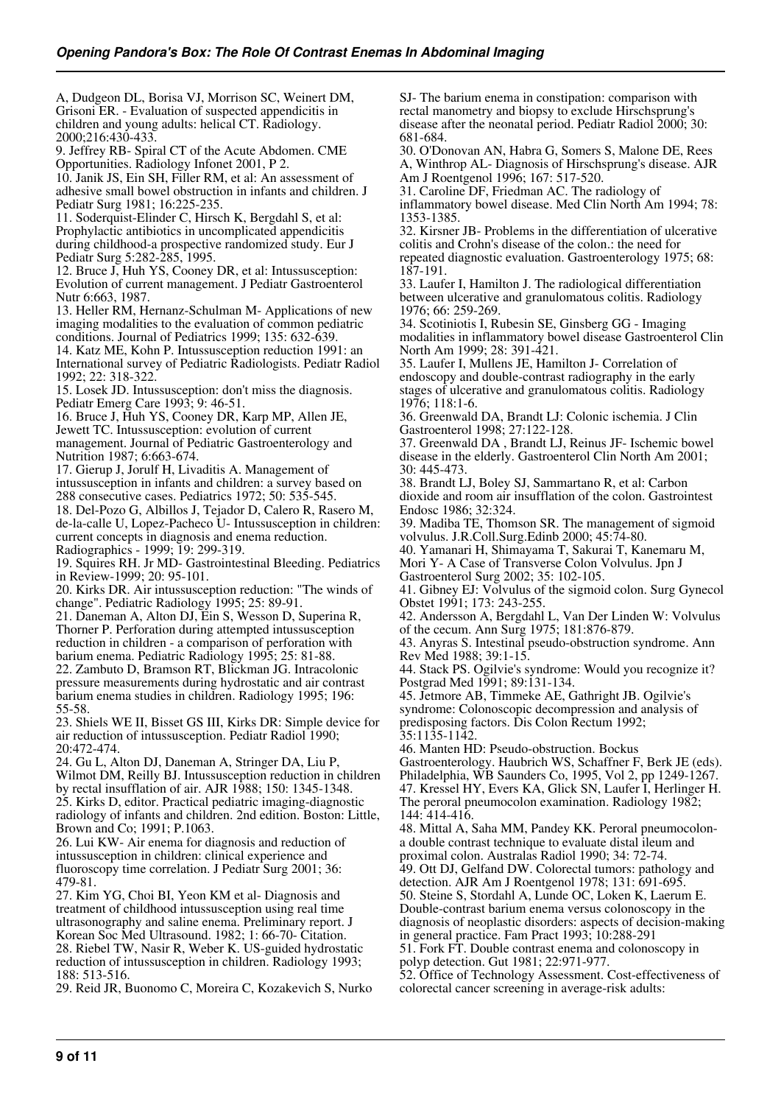A, Dudgeon DL, Borisa VJ, Morrison SC, Weinert DM, Grisoni ER. - Evaluation of suspected appendicitis in children and young adults: helical CT. Radiology. 2000;216:430-433.

9. Jeffrey RB- Spiral CT of the Acute Abdomen. CME Opportunities. Radiology Infonet 2001, P 2.

10. Janik JS, Ein SH, Filler RM, et al: An assessment of adhesive small bowel obstruction in infants and children. J Pediatr Surg 1981; 16:225-235.

11. Soderquist-Elinder C, Hirsch K, Bergdahl S, et al: Prophylactic antibiotics in uncomplicated appendicitis during childhood-a prospective randomized study. Eur J Pediatr Surg 5:282-285, 1995.

12. Bruce J, Huh YS, Cooney DR, et al: Intussusception: Evolution of current management. J Pediatr Gastroenterol Nutr 6:663, 1987.

13. Heller RM, Hernanz-Schulman M- Applications of new imaging modalities to the evaluation of common pediatric conditions. Journal of Pediatrics 1999; 135: 632-639.

14. Katz ME, Kohn P. Intussusception reduction 1991: an International survey of Pediatric Radiologists. Pediatr Radiol 1992; 22: 318-322.

15. Losek JD. Intussusception: don't miss the diagnosis. Pediatr Emerg Care 1993; 9: 46-51.

16. Bruce J, Huh YS, Cooney DR, Karp MP, Allen JE, Jewett TC. Intussusception: evolution of current management. Journal of Pediatric Gastroenterology and Nutrition 1987; 6:663-674.

17. Gierup J, Jorulf H, Livaditis A. Management of intussusception in infants and children: a survey based on 288 consecutive cases. Pediatrics 1972; 50: 535-545.

18. Del-Pozo G, Albillos J, Tejador D, Calero R, Rasero M, de-la-calle U, Lopez-Pacheco U- Intussusception in children: current concepts in diagnosis and enema reduction. Radiographics - 1999; 19: 299-319.

19. Squires RH. Jr MD- Gastrointestinal Bleeding. Pediatrics in Review-1999; 20: 95-101.

20. Kirks DR. Air intussusception reduction: "The winds of change". Pediatric Radiology 1995; 25: 89-91.

21. Daneman A, Alton DJ, Ein S, Wesson D, Superina R, Thorner P. Perforation during attempted intussusception reduction in children - a comparison of perforation with barium enema. Pediatric Radiology 1995; 25: 81-88. 22. Zambuto D, Bramson RT, Blickman JG. Intracolonic pressure measurements during hydrostatic and air contrast barium enema studies in children. Radiology 1995; 196: 55-58.

23. Shiels WE II, Bisset GS III, Kirks DR: Simple device for air reduction of intussusception. Pediatr Radiol 1990; 20:472-474.

24. Gu L, Alton DJ, Daneman A, Stringer DA, Liu P, Wilmot DM, Reilly BJ. Intussusception reduction in children by rectal insufflation of air. AJR 1988; 150: 1345-1348. 25. Kirks D, editor. Practical pediatric imaging-diagnostic radiology of infants and children. 2nd edition. Boston: Little, Brown and Co; 1991; P.1063.

26. Lui KW- Air enema for diagnosis and reduction of intussusception in children: clinical experience and fluoroscopy time correlation. J Pediatr Surg 2001; 36: 479-81.

27. Kim YG, Choi BI, Yeon KM et al- Diagnosis and treatment of childhood intussusception using real time ultrasonography and saline enema. Preliminary report. J Korean Soc Med Ultrasound. 1982; 1: 66-70- Citation. 28. Riebel TW, Nasir R, Weber K. US-guided hydrostatic reduction of intussusception in children. Radiology 1993; 188: 513-516.

29. Reid JR, Buonomo C, Moreira C, Kozakevich S, Nurko

SJ- The barium enema in constipation: comparison with rectal manometry and biopsy to exclude Hirschsprung's disease after the neonatal period. Pediatr Radiol 2000; 30: 681-684.

30. O'Donovan AN, Habra G, Somers S, Malone DE, Rees A, Winthrop AL- Diagnosis of Hirschsprung's disease. AJR Am J Roentgenol 1996; 167: 517-520.

31. Caroline DF, Friedman AC. The radiology of inflammatory bowel disease. Med Clin North Am 1994; 78:

1353-1385. 32. Kirsner JB- Problems in the differentiation of ulcerative

colitis and Crohn's disease of the colon.: the need for repeated diagnostic evaluation. Gastroenterology 1975; 68: 187-191.

33. Laufer I, Hamilton J. The radiological differentiation between ulcerative and granulomatous colitis. Radiology 1976; 66: 259-269.

34. Scotiniotis I, Rubesin SE, Ginsberg GG - Imaging modalities in inflammatory bowel disease Gastroenterol Clin North Am 1999; 28: 391-421.

35. Laufer I, Mullens JE, Hamilton J- Correlation of endoscopy and double-contrast radiography in the early stages of ulcerative and granulomatous colitis. Radiology 1976; 118:1-6.

36. Greenwald DA, Brandt LJ: Colonic ischemia. J Clin Gastroenterol 1998; 27:122-128.

37. Greenwald DA , Brandt LJ, Reinus JF- Ischemic bowel disease in the elderly. Gastroenterol Clin North Am 2001; 30: 445-473.

38. Brandt LJ, Boley SJ, Sammartano R, et al: Carbon dioxide and room air insufflation of the colon. Gastrointest Endosc 1986; 32:324.

39. Madiba TE, Thomson SR. The management of sigmoid volvulus. J.R.Coll.Surg.Edinb 2000; 45:74-80.

40. Yamanari H, Shimayama T, Sakurai T, Kanemaru M, Mori Y- A Case of Transverse Colon Volvulus. Jpn J

Gastroenterol Surg 2002; 35: 102-105.

41. Gibney EJ: Volvulus of the sigmoid colon. Surg Gynecol Obstet 1991; 173: 243-255.

42. Andersson A, Bergdahl L, Van Der Linden W: Volvulus of the cecum. Ann Surg 1975; 181:876-879.

43. Anyras S. Intestinal pseudo-obstruction syndrome. Ann Rev Med 1988; 39:1-15.

44. Stack PS. Ogilvie's syndrome: Would you recognize it? Postgrad Med 1991; 89:131-134.

45. Jetmore AB, Timmeke AE, Gathright JB. Ogilvie's syndrome: Colonoscopic decompression and analysis of predisposing factors. Dis Colon Rectum 1992;

35:1135-1142.

46. Manten HD: Pseudo-obstruction. Bockus Gastroenterology. Haubrich WS, Schaffner F, Berk JE (eds). Philadelphia, WB Saunders Co, 1995, Vol 2, pp 1249-1267. 47. Kressel HY, Evers KA, Glick SN, Laufer I, Herlinger H. The peroral pneumocolon examination. Radiology 1982; 144: 414-416.

48. Mittal A, Saha MM, Pandey KK. Peroral pneumocolona double contrast technique to evaluate distal ileum and proximal colon. Australas Radiol 1990; 34: 72-74.

49. Ott DJ, Gelfand DW. Colorectal tumors: pathology and

detection. AJR Am J Roentgenol 1978; 131: 691-695. 50. Steine S, Stordahl A, Lunde OC, Loken K, Laerum E. Double-contrast barium enema versus colonoscopy in the diagnosis of neoplastic disorders: aspects of decision-making in general practice. Fam Pract 1993; 10:288-291

51. Fork FT. Double contrast enema and colonoscopy in polyp detection. Gut 1981; 22:971-977.

52. Office of Technology Assessment. Cost-effectiveness of colorectal cancer screening in average-risk adults: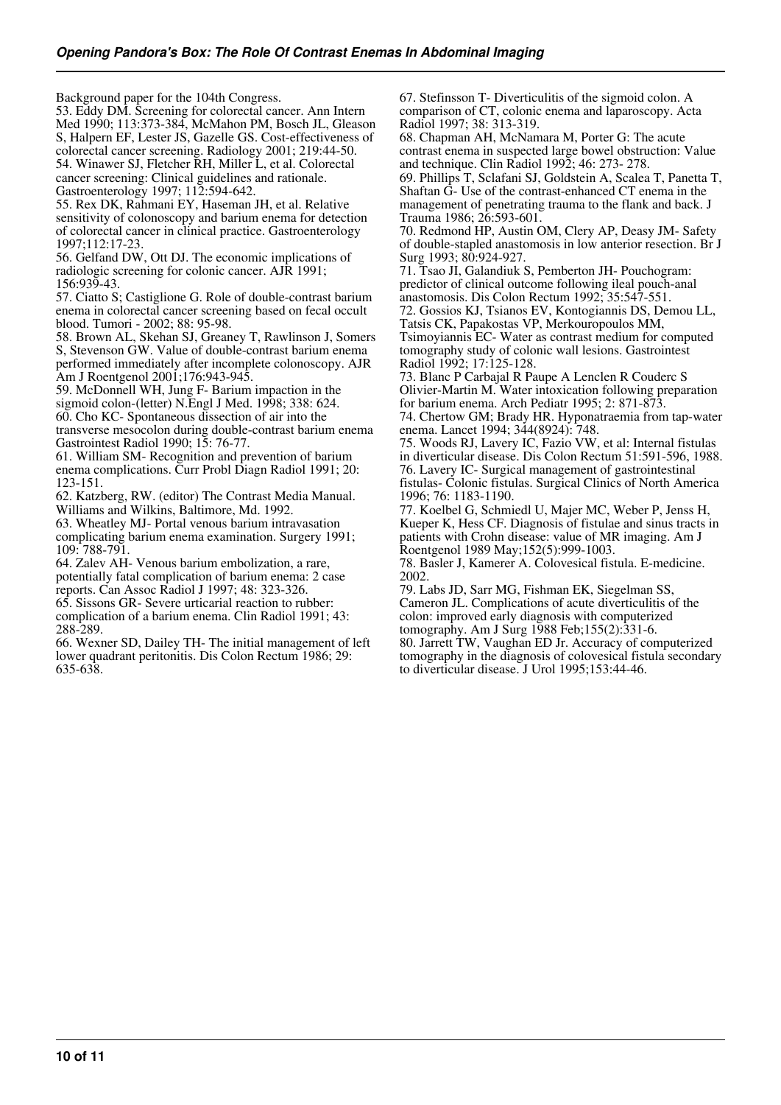Background paper for the 104th Congress. 53. Eddy DM. Screening for colorectal cancer. Ann Intern Med 1990; 113:373-384, McMahon PM, Bosch JL, Gleason S, Halpern EF, Lester JS, Gazelle GS. Cost-effectiveness of colorectal cancer screening. Radiology 2001; 219:44-50. 54. Winawer SJ, Fletcher RH, Miller L, et al. Colorectal cancer screening: Clinical guidelines and rationale. Gastroenterology 1997; 112:594-642.

55. Rex DK, Rahmani EY, Haseman JH, et al. Relative sensitivity of colonoscopy and barium enema for detection of colorectal cancer in clinical practice. Gastroenterology 1997;112:17-23.

56. Gelfand DW, Ott DJ. The economic implications of radiologic screening for colonic cancer. AJR 1991; 156:939-43.

57. Ciatto S; Castiglione G. Role of double-contrast barium enema in colorectal cancer screening based on fecal occult blood. Tumori - 2002; 88: 95-98.

58. Brown AL, Skehan SJ, Greaney T, Rawlinson J, Somers S, Stevenson GW. Value of double-contrast barium enema performed immediately after incomplete colonoscopy. AJR Am J Roentgenol 2001;176:943-945.

59. McDonnell WH, Jung F- Barium impaction in the sigmoid colon-(letter) N.Engl J Med. 1998; 338: 624. 60. Cho KC- Spontaneous dissection of air into the transverse mesocolon during double-contrast barium enema

Gastrointest Radiol 1990; 15: 76-77. 61. William SM- Recognition and prevention of barium enema complications. Curr Probl Diagn Radiol 1991; 20: 123-151.

62. Katzberg, RW. (editor) The Contrast Media Manual. Williams and Wilkins, Baltimore, Md. 1992.

63. Wheatley MJ- Portal venous barium intravasation complicating barium enema examination. Surgery 1991; 109: 788-791.

64. Zalev AH- Venous barium embolization, a rare, potentially fatal complication of barium enema: 2 case reports. Can Assoc Radiol J 1997; 48: 323-326.

65. Sissons GR- Severe urticarial reaction to rubber: complication of a barium enema. Clin Radiol 1991; 43: 288-289.

66. Wexner SD, Dailey TH- The initial management of left lower quadrant peritonitis. Dis Colon Rectum 1986; 29: 635-638.

67. Stefinsson T- Diverticulitis of the sigmoid colon. A comparison of CT, colonic enema and laparoscopy. Acta Radiol 1997; 38: 313-319.

68. Chapman AH, McNamara M, Porter G: The acute contrast enema in suspected large bowel obstruction: Value and technique. Clin Radiol 1992; 46: 273- 278.

69. Phillips T, Sclafani SJ, Goldstein A, Scalea T, Panetta T, Shaftan G- Use of the contrast-enhanced CT enema in the management of penetrating trauma to the flank and back. J Trauma 1986; 26:593-601.

70. Redmond HP, Austin OM, Clery AP, Deasy JM- Safety of double-stapled anastomosis in low anterior resection. Br J Surg 1993; 80:924-927.

71. Tsao JI, Galandiuk S, Pemberton JH- Pouchogram: predictor of clinical outcome following ileal pouch-anal anastomosis. Dis Colon Rectum 1992; 35:547-551.

72. Gossios KJ, Tsianos EV, Kontogiannis DS, Demou LL, Tatsis CK, Papakostas VP, Merkouropoulos MM,

Tsimoyiannis EC- Water as contrast medium for computed tomography study of colonic wall lesions. Gastrointest Radiol 1992; 17:125-128.

73. Blanc P Carbajal R Paupe A Lenclen R Couderc S Olivier-Martin M. Water intoxication following preparation for barium enema. Arch Pediatr 1995; 2: 871-873.

74. Chertow GM; Brady HR. Hyponatraemia from tap-water enema. Lancet 1994; 344(8924): 748.

75. Woods RJ, Lavery IC, Fazio VW, et al: Internal fistulas in diverticular disease. Dis Colon Rectum 51:591-596, 1988. 76. Lavery IC- Surgical management of gastrointestinal fistulas- Colonic fistulas. Surgical Clinics of North America 1996; 76: 1183-1190.

77. Koelbel G, Schmiedl U, Majer MC, Weber P, Jenss H, Kueper K, Hess CF. Diagnosis of fistulae and sinus tracts in patients with Crohn disease: value of MR imaging. Am J Roentgenol 1989 May;152(5):999-1003.

78. Basler J, Kamerer A. Colovesical fistula. E-medicine. 2002.

79. Labs JD, Sarr MG, Fishman EK, Siegelman SS, Cameron JL. Complications of acute diverticulitis of the colon: improved early diagnosis with computerized tomography. Am J Surg 1988 Feb;155(2):331-6.

80. Jarrett TW, Vaughan ED Jr. Accuracy of computerized tomography in the diagnosis of colovesical fistula secondary to diverticular disease. J Urol 1995;153:44-46.